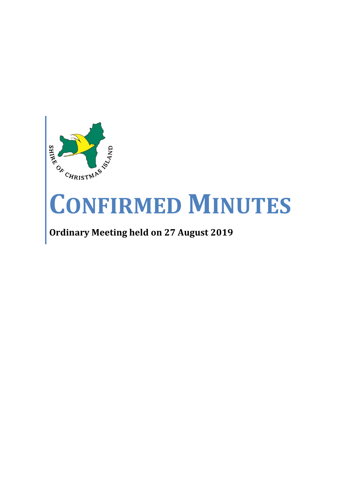

# **CONFIRMED MINUTES**

# **Ordinary Meeting held on 27 August 2019**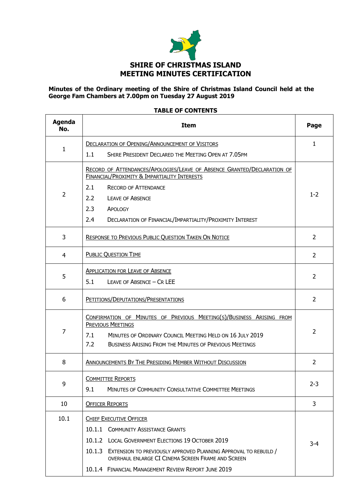

#### **Minutes of the Ordinary meeting of the Shire of Christmas Island Council held at the George Fam Chambers at 7.00pm on Tuesday 27 August 2019**

#### **TABLE OF CONTENTS**

| <b>Agenda</b><br>No. | <b>Item</b>                                                                                                                                                                                                                                 | Page           |  |  |
|----------------------|---------------------------------------------------------------------------------------------------------------------------------------------------------------------------------------------------------------------------------------------|----------------|--|--|
|                      | <b>DECLARATION OF OPENING/ANNOUNCEMENT OF VISITORS</b>                                                                                                                                                                                      | $\mathbf{1}$   |  |  |
| 1                    | 1.1<br>SHIRE PRESIDENT DECLARED THE MEETING OPEN AT 7.05PM                                                                                                                                                                                  |                |  |  |
|                      | RECORD OF ATTENDANCES/APOLOGIES/LEAVE OF ABSENCE GRANTED/DECLARATION OF<br>FINANCIAL/PROXIMITY & IMPARTIALITY INTERESTS                                                                                                                     |                |  |  |
|                      | 2.1<br><b>RECORD OF ATTENDANCE</b>                                                                                                                                                                                                          |                |  |  |
| $\overline{2}$       | 2.2<br><b>LEAVE OF ABSENCE</b>                                                                                                                                                                                                              |                |  |  |
|                      | 2.3<br>APOLOGY                                                                                                                                                                                                                              |                |  |  |
|                      | 2.4<br>DECLARATION OF FINANCIAL/IMPARTIALITY/PROXIMITY INTEREST                                                                                                                                                                             |                |  |  |
| 3                    | <b>RESPONSE TO PREVIOUS PUBLIC QUESTION TAKEN ON NOTICE</b>                                                                                                                                                                                 | $\overline{2}$ |  |  |
| 4                    | <b>PUBLIC QUESTION TIME</b>                                                                                                                                                                                                                 | $\overline{2}$ |  |  |
| 5                    | <b>APPLICATION FOR LEAVE OF ABSENCE</b><br>5.1<br>LEAVE OF ABSENCE - CR LEE                                                                                                                                                                 | $\overline{2}$ |  |  |
| 6                    | PETITIONS/DEPUTATIONS/PRESENTATIONS                                                                                                                                                                                                         | $\overline{2}$ |  |  |
| 7                    | CONFIRMATION OF MINUTES OF PREVIOUS MEETING(S)/BUSINESS ARISING FROM<br><b>PREVIOUS MEETINGS</b><br>7.1<br>MINUTES OF ORDINARY COUNCIL MEETING HELD ON 16 JULY 2019<br>7.2<br><b>BUSINESS ARISING FROM THE MINUTES OF PREVIOUS MEETINGS</b> | $\overline{2}$ |  |  |
| 8                    | ANNOUNCEMENTS BY THE PRESIDING MEMBER WITHOUT DISCUSSION                                                                                                                                                                                    | 2              |  |  |
| 9                    | <b>COMMITTEE REPORTS</b><br>9.1<br><b>MINUTES OF COMMUNITY CONSULTATIVE COMMITTEE MEETINGS</b>                                                                                                                                              | $2 - 3$        |  |  |
| 10                   | <b>OFFICER REPORTS</b>                                                                                                                                                                                                                      | 3              |  |  |
| 10.1                 | <b>CHIEF EXECUTIVE OFFICER</b>                                                                                                                                                                                                              |                |  |  |
|                      | 10.1.1 COMMUNITY ASSISTANCE GRANTS                                                                                                                                                                                                          |                |  |  |
|                      | 10.1.2 LOCAL GOVERNMENT ELECTIONS 19 OCTOBER 2019                                                                                                                                                                                           | $3 - 4$        |  |  |
|                      | 10.1.3 EXTENSION TO PREVIOUSLY APPROVED PLANNING APPROVAL TO REBUILD /<br>OVERHAUL ENLARGE CI CINEMA SCREEN FRAME AND SCREEN                                                                                                                |                |  |  |
|                      | 10.1.4 FINANCIAL MANAGEMENT REVIEW REPORT JUNE 2019                                                                                                                                                                                         |                |  |  |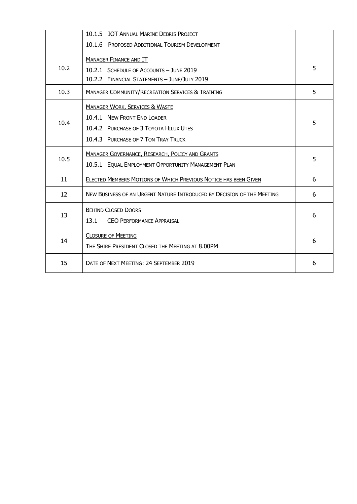|      | 10.1.5 IOT ANNUAL MARINE DEBRIS PROJECT                                                                                                                   |   |
|------|-----------------------------------------------------------------------------------------------------------------------------------------------------------|---|
|      | 10.1.6 PROPOSED ADDITIONAL TOURISM DEVELOPMENT                                                                                                            |   |
| 10.2 | <b>MANAGER FINANCE AND IT</b><br>10.2.1 SCHEDULE OF ACCOUNTS - JUNE 2019<br>10.2.2 FINANCIAL STATEMENTS - JUNE/JULY 2019                                  | 5 |
| 10.3 | <b>MANAGER COMMUNITY/RECREATION SERVICES &amp; TRAINING</b>                                                                                               | 5 |
| 10.4 | <b>MANAGER WORK, SERVICES &amp; WASTE</b><br>10.4.1 NEW FRONT END LOADER<br>10.4.2 PURCHASE OF 3 TOYOTA HILUX UTES<br>10.4.3 PURCHASE OF 7 TON TRAY TRUCK | 5 |
| 10.5 | <b>MANAGER GOVERNANCE, RESEARCH, POLICY AND GRANTS</b><br>10.5.1 EQUAL EMPLOYMENT OPPORTUNITY MANAGEMENT PLAN                                             | 5 |
| 11   | ELECTED MEMBERS MOTIONS OF WHICH PREVIOUS NOTICE HAS BEEN GIVEN                                                                                           | 6 |
| 12   | NEW BUSINESS OF AN URGENT NATURE INTRODUCED BY DECISION OF THE MEETING                                                                                    | 6 |
| 13   | <b>BEHIND CLOSED DOORS</b><br>13.1<br>CEO PERFORMANCE APPRAISAL                                                                                           | 6 |
| 14   | <b>CLOSURE OF MEETING</b><br>THE SHIRE PRESIDENT CLOSED THE MEETING AT 8.00PM                                                                             | 6 |
| 15   | DATE OF NEXT MEETING: 24 SEPTEMBER 2019                                                                                                                   | 6 |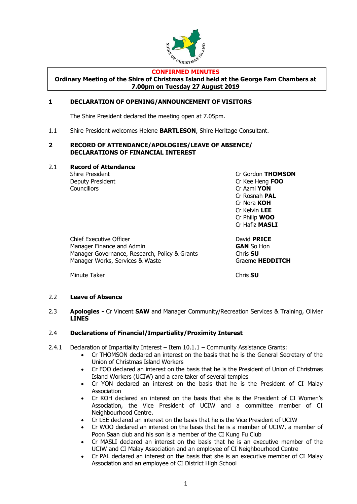

#### **CONFIRMED MINUTES**

**Ordinary Meeting of the Shire of Christmas Island held at the George Fam Chambers at 7.00pm on Tuesday 27 August 2019**

#### **1 DECLARATION OF OPENING/ANNOUNCEMENT OF VISITORS**

The Shire President declared the meeting open at 7.05pm.

1.1 Shire President welcomes Helene **BARTLESON**, Shire Heritage Consultant.

#### **2 RECORD OF ATTENDANCE/APOLOGIES/LEAVE OF ABSENCE/ DECLARATIONS OF FINANCIAL INTEREST**

2.1 **Record of Attendance**

Councillors Cr Azmi **YON**

Shire President **Criminal Criminal Criminal Criminal Criminal Criminal Criminal Criminal Criminal Criminal Operation** Deputy President Cr Kee Heng **FOO** Cr Rosnah **PAL** Cr Nora **KOH** Cr Kelvin **LEE** Cr Philip **WOO** Cr Hafiz **MASLI**

Chief Executive Officer **David PRICE** Manager Finance and Admin **GAN** So Hon Manager Governance, Research, Policy & Grants Chris **SU** Manager Works, Services & Waste Graeme **HEDDITCH** 

Minute Taker **Chris SU** 

#### 2.2 **Leave of Absence**

#### 2.3 **Apologies -** Cr Vincent **SAW** and Manager Community/Recreation Services & Training, Olivier **LINES**

#### 2.4 **Declarations of Financial/Impartiality/Proximity Interest**

- 2.4.1 Declaration of Impartiality Interest Item 10.1.1 Community Assistance Grants:
	- Cr THOMSON declared an interest on the basis that he is the General Secretary of the Union of Christmas Island Workers
	- Cr FOO declared an interest on the basis that he is the President of Union of Christmas Island Workers (UCIW) and a care taker of several temples
	- Cr YON declared an interest on the basis that he is the President of CI Malay Association
	- Cr KOH declared an interest on the basis that she is the President of CI Women's Association, the Vice President of UCIW and a committee member of CI Neighbourhood Centre.
	- Cr LEE declared an interest on the basis that he is the Vice President of UCIW
	- Cr WOO declared an interest on the basis that he is a member of UCIW, a member of Poon Saan club and his son is a member of the CI Kung Fu Club
	- Cr MASLI declared an interest on the basis that he is an executive member of the UCIW and CI Malay Association and an employee of CI Neighbourhood Centre
	- Cr PAL declared an interest on the basis that she is an executive member of CI Malay Association and an employee of CI District High School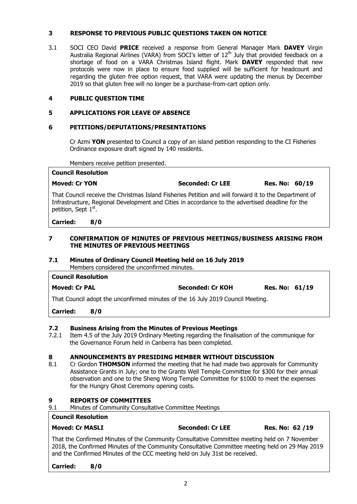#### **3 RESPONSE TO PREVIOUS PUBLIC QUESTIONS TAKEN ON NOTICE**

3.1 SOCI CEO David **PRICE** received a response from General Manager Mark **DAVEY** Virgin Australia Regional Airlines (VARA) from SOCI's letter of  $12<sup>th</sup>$  July that provided feedback on a shortage of food on a VARA Christmas Island flight. Mark **DAVEY** responded that new protocols were now in place to ensure food supplied will be sufficient for headcount and regarding the gluten free option request, that VARA were updating the menus by December 2019 so that gluten free will no longer be a purchase-from-cart option only.

#### **4 PUBLIC QUESTION TIME**

#### **5 APPLICATIONS FOR LEAVE OF ABSENCE**

#### **6 PETITIONS/DEPUTATIONS/PRESENTATIONS**

Cr Azmi **YON** presented to Council a copy of an island petition responding to the CI Fisheries Ordinance exposure draft signed by 140 residents.

Members receive petition presented.

| <b>Council Resolution</b>                                                                                                                                                                                                                     |                         |                       |
|-----------------------------------------------------------------------------------------------------------------------------------------------------------------------------------------------------------------------------------------------|-------------------------|-----------------------|
| <b>Moved: Cr YON</b>                                                                                                                                                                                                                          | <b>Seconded: Cr LEE</b> | <b>Res. No: 60/19</b> |
| That Council receive the Christmas Island Fisheries Petition and will forward it to the Department of<br>Infrastructure, Regional Development and Cities in accordance to the advertised deadline for the<br>petition, Sept 1 <sup>st</sup> . |                         |                       |

#### **Carried: 8/0**

#### **7 CONFIRMATION OF MINUTES OF PREVIOUS MEETINGS/BUSINESS ARISING FROM THE MINUTES OF PREVIOUS MEETINGS**

#### **7.1 Minutes of Ordinary Council Meeting held on 16 July 2019** Members considered the unconfirmed minutes.

| <b>Council Resolution</b> | ושטוווי שטוויוסו ושטוויט שווט טויט ושטווטו וטו ושניו ו                          |                         |                       |  |  |  |
|---------------------------|---------------------------------------------------------------------------------|-------------------------|-----------------------|--|--|--|
| <b>Moved: Cr PAL</b>      |                                                                                 | <b>Seconded: Cr KOH</b> | <b>Res. No: 61/19</b> |  |  |  |
|                           | That Council adopt the unconfirmed minutes of the 16 July 2019 Council Meeting. |                         |                       |  |  |  |
| <b>Carried:</b>           | 8/0                                                                             |                         |                       |  |  |  |

**7.2 Business Arising from the Minutes of Previous Meetings**

7.2.1 Item 4.5 of the July 2019 Ordinary Meeting regarding the finalisation of the communique for the Governance Forum held in Canberra has been completed.

#### **8 ANNOUNCEMENTS BY PRESIDING MEMBER WITHOUT DISCUSSION**

8.1 Cr Gordon **THOMSON** informed the meeting that he had made two approvals for Community Assistance Grants in July; one to the Grants Well Temple Committee for \$300 for their annual observation and one to the Sheng Wong Temple Committee for \$1000 to meet the expenses for the Hungry Ghost Ceremony opening costs.

#### **9 REPORTS OF COMMITTEES**

9.1 Minutes of Community Consultative Committee Meetings

#### **Council Resolution**

#### **Moved: Cr MASLI Seconded: Cr LEE Res. No: 62 /19**

That the Confirmed Minutes of the Community Consultative Committee meeting held on 7 November 2018, the Confirmed Minutes of the Community Consultative Committee meeting held on 29 May 2019 and the Confirmed Minutes of the CCC meeting held on July 31st be received.

**Carried: 8/0**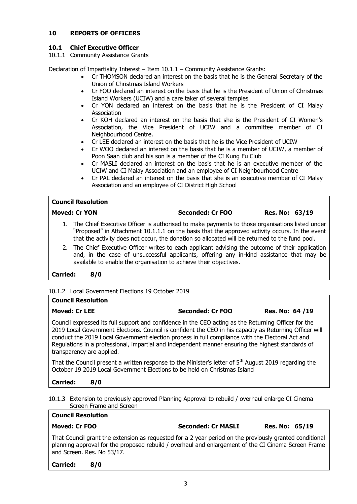#### **10 REPORTS OF OFFICERS**

#### **10.1 Chief Executive Officer**

10.1.1 Community Assistance Grants

Declaration of Impartiality Interest  $-$  Item  $10.1.1$  – Community Assistance Grants:

- Cr THOMSON declared an interest on the basis that he is the General Secretary of the Union of Christmas Island Workers
- Cr FOO declared an interest on the basis that he is the President of Union of Christmas Island Workers (UCIW) and a care taker of several temples
- Cr YON declared an interest on the basis that he is the President of CI Malay Association
- Cr KOH declared an interest on the basis that she is the President of CI Women's Association, the Vice President of UCIW and a committee member of CI Neighbourhood Centre.
- Cr LEE declared an interest on the basis that he is the Vice President of UCIW
- Cr WOO declared an interest on the basis that he is a member of UCIW, a member of Poon Saan club and his son is a member of the CI Kung Fu Club
- Cr MASLI declared an interest on the basis that he is an executive member of the UCIW and CI Malay Association and an employee of CI Neighbourhood Centre
- Cr PAL declared an interest on the basis that she is an executive member of CI Malay Association and an employee of CI District High School

#### **Council Resolution**

#### **Moved: Cr YON Seconded: Cr FOO Res. No: 63/19**

- 1. The Chief Executive Officer is authorised to make payments to those organisations listed under "Proposed" in Attachment 10.1.1.1 on the basis that the approved activity occurs. In the event that the activity does not occur, the donation so allocated will be returned to the fund pool.
- 2. The Chief Executive Officer writes to each applicant advising the outcome of their application and, in the case of unsuccessful applicants, offering any in-kind assistance that may be available to enable the organisation to achieve their objectives.

#### **Carried: 8/0**

#### 10.1.2 Local Government Elections 19 October 2019

| <b>Council Resolution</b>                                                                                                                                                                                                                                                                                                                                                                                                                             |                         |                 |
|-------------------------------------------------------------------------------------------------------------------------------------------------------------------------------------------------------------------------------------------------------------------------------------------------------------------------------------------------------------------------------------------------------------------------------------------------------|-------------------------|-----------------|
| <b>Moved: Cr LEE</b>                                                                                                                                                                                                                                                                                                                                                                                                                                  | <b>Seconded: Cr FOO</b> | Res. No: 64 /19 |
| Council expressed its full support and confidence in the CEO acting as the Returning Officer for the<br>2019 Local Government Elections. Council is confident the CEO in his capacity as Returning Officer will<br>conduct the 2019 Local Government election process in full compliance with the Electoral Act and<br>Regulations in a professional, impartial and independent manner ensuring the highest standards of<br>transparency are applied. |                         |                 |
| That the Council present a written response to the Minister's letter of 5 <sup>th</sup> August 2019 regarding the<br>October 19 2019 Local Government Elections to be held on Christmas Island                                                                                                                                                                                                                                                        |                         |                 |

#### **Carried: 8/0**

**Council Resolution**

10.1.3 Extension to previously approved Planning Approval to rebuild / overhaul enlarge CI Cinema Screen Frame and Screen

# **Moved: Cr FOO Seconded: Cr MASLI Res. No: 65/19**

That Council grant the extension as requested for a 2 year period on the previously granted conditional planning approval for the proposed rebuild / overhaul and enlargement of the CI Cinema Screen Frame and Screen. Res. No 53/17.

**Carried: 8/0**

#### 3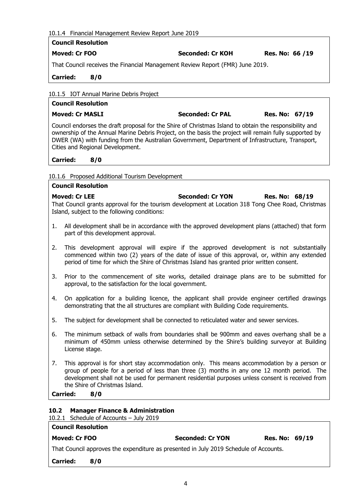|  | 10.1.4 Financial Management Review Report June 2019 |
|--|-----------------------------------------------------|
|  |                                                     |

# **Council Resolution**

# **Moved: Cr FOO Seconded: Cr KOH Res. No: 66 /19**

That Council receives the Financial Management Review Report (FMR) June 2019.

**Carried: 8/0**

10.1.5 IOT Annual Marine Debris Project

# **Council Resolution**

**Moved: Cr MASLI Seconded: Cr PAL Res. No: 67/19**

Council endorses the draft proposal for the Shire of Christmas Island to obtain the responsibility and ownership of the Annual Marine Debris Project, on the basis the project will remain fully supported by DWER (WA) with funding from the Australian Government, Department of Infrastructure, Transport, Cities and Regional Development.

**Carried: 8/0**

**Council Resolution**

#### 10.1.6 Proposed Additional Tourism Development

**Moved: Cr LEE Seconded: Cr YON Res. No: 68/19** That Council grants approval for the tourism development at Location 318 Tong Chee Road, Christmas Island, subject to the following conditions:

- 1. All development shall be in accordance with the approved development plans (attached) that form part of this development approval.
- 2. This development approval will expire if the approved development is not substantially commenced within two (2) years of the date of issue of this approval, or, within any extended period of time for which the Shire of Christmas Island has granted prior written consent.
- 3. Prior to the commencement of site works, detailed drainage plans are to be submitted for approval, to the satisfaction for the local government.
- 4. On application for a building licence, the applicant shall provide engineer certified drawings demonstrating that the all structures are compliant with Building Code requirements.
- 5. The subject for development shall be connected to reticulated water and sewer services.
- 6. The minimum setback of walls from boundaries shall be 900mm and eaves overhang shall be a minimum of 450mm unless otherwise determined by the Shire's building surveyor at Building License stage.
- 7. This approval is for short stay accommodation only. This means accommodation by a person or group of people for a period of less than three (3) months in any one 12 month period. The development shall not be used for permanent residential purposes unless consent is received from the Shire of Christmas Island.

**Carried: 8/0**

#### **10.2 Manager Finance & Administration**

#### 10.2.1 Schedule of Accounts – July 2019

| <b>Council Resolution</b>                                                             |                         |                       |  |
|---------------------------------------------------------------------------------------|-------------------------|-----------------------|--|
| Moved: Cr FOO                                                                         | <b>Seconded: Cr YON</b> | <b>Res. No: 69/19</b> |  |
| That Council approves the expenditure as presented in July 2019 Schedule of Accounts. |                         |                       |  |

**Carried: 8/0**

4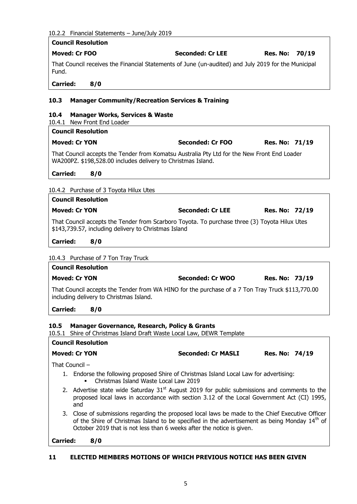#### 10.2.2 Financial Statements – June/July 2019

|                 |                             | $10.2.2$ Financial Statements – June/July 2019                                                                                                                                                         |                |       |
|-----------------|-----------------------------|--------------------------------------------------------------------------------------------------------------------------------------------------------------------------------------------------------|----------------|-------|
|                 | <b>Council Resolution</b>   |                                                                                                                                                                                                        |                |       |
|                 | <b>Moved: Cr FOO</b>        | Seconded: Cr LEE                                                                                                                                                                                       | Res. No:       | 70/19 |
| Fund.           |                             | That Council receives the Financial Statements of June (un-audited) and July 2019 for the Municipal                                                                                                    |                |       |
| <b>Carried:</b> | 8/0                         |                                                                                                                                                                                                        |                |       |
| 10.3            |                             | <b>Manager Community/Recreation Services &amp; Training</b>                                                                                                                                            |                |       |
| 10.4            | 10.4.1 New Front End Loader | <b>Manager Works, Services &amp; Waste</b>                                                                                                                                                             |                |       |
|                 | <b>Council Resolution</b>   |                                                                                                                                                                                                        |                |       |
|                 | <b>Moved: Cr YON</b>        | <b>Seconded: Cr FOO</b>                                                                                                                                                                                | Res. No: 71/19 |       |
|                 |                             | That Council accepts the Tender from Komatsu Australia Pty Ltd for the New Front End Loader<br>WA200PZ. \$198,528.00 includes delivery to Christmas Island.                                            |                |       |
| <b>Carried:</b> | 8/0                         |                                                                                                                                                                                                        |                |       |
|                 |                             | 10.4.2 Purchase of 3 Toyota Hilux Utes                                                                                                                                                                 |                |       |
|                 | <b>Council Resolution</b>   |                                                                                                                                                                                                        |                |       |
|                 | <b>Moved: Cr YON</b>        | <b>Seconded: Cr LEE</b>                                                                                                                                                                                | Res. No: 72/19 |       |
|                 |                             | That Council accepts the Tender from Scarboro Toyota. To purchase three (3) Toyota Hilux Utes                                                                                                          |                |       |
|                 |                             | \$143,739.57, including delivery to Christmas Island                                                                                                                                                   |                |       |
| <b>Carried:</b> | 8/0                         |                                                                                                                                                                                                        |                |       |
|                 |                             | 10.4.3 Purchase of 7 Ton Tray Truck                                                                                                                                                                    |                |       |
|                 | <b>Council Resolution</b>   |                                                                                                                                                                                                        |                |       |
|                 | <b>Moved: Cr YON</b>        | Seconded: Cr WOO                                                                                                                                                                                       | Res. No: 73/19 |       |
|                 |                             | That Council accepts the Tender from WA HINO for the purchase of a 7 Ton Tray Truck \$113,770.00<br>including delivery to Christmas Island.                                                            |                |       |
| <b>Carried:</b> | 8/0                         |                                                                                                                                                                                                        |                |       |
| 10.5<br>10.5.1  | <b>Council Resolution</b>   | <b>Manager Governance, Research, Policy &amp; Grants</b><br>Shire of Christmas Island Draft Waste Local Law, DEWR Template                                                                             |                |       |
|                 | <b>Moved: Cr YON</b>        | <b>Seconded: Cr MASLI</b>                                                                                                                                                                              | Res. No: 74/19 |       |
|                 | That Council -              |                                                                                                                                                                                                        |                |       |
|                 |                             | 1. Endorse the following proposed Shire of Christmas Island Local Law for advertising:<br>Christmas Island Waste Local Law 2019                                                                        |                |       |
|                 |                             |                                                                                                                                                                                                        |                |       |
|                 | and                         | 2. Advertise state wide Saturday 31 <sup>st</sup> August 2019 for public submissions and comments to the<br>proposed local laws in accordance with section 3.12 of the Local Government Act (CI) 1995, |                |       |

**Carried: 8/0**

#### **11 ELECTED MEMBERS MOTIONS OF WHICH PREVIOUS NOTICE HAS BEEN GIVEN**